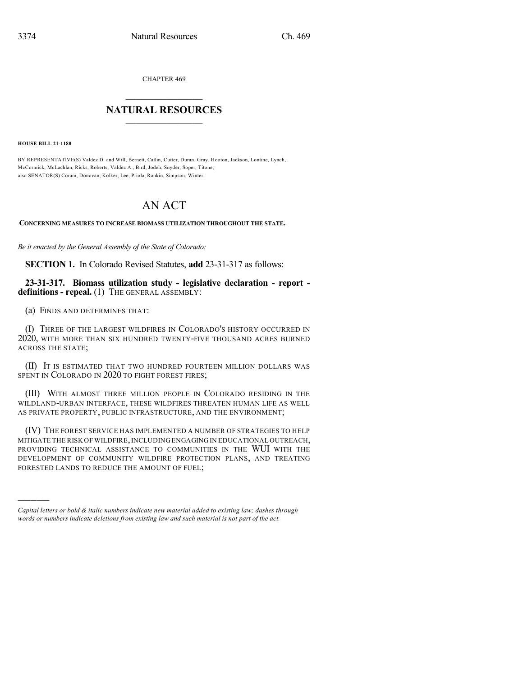CHAPTER 469

## $\overline{\phantom{a}}$  . The set of the set of the set of the set of the set of the set of the set of the set of the set of the set of the set of the set of the set of the set of the set of the set of the set of the set of the set o **NATURAL RESOURCES**  $\frac{1}{\sqrt{2}}$  , where  $\frac{1}{\sqrt{2}}$  ,  $\frac{1}{\sqrt{2}}$  ,  $\frac{1}{\sqrt{2}}$

**HOUSE BILL 21-1180**

)))))

BY REPRESENTATIVE(S) Valdez D. and Will, Bernett, Catlin, Cutter, Duran, Gray, Hooton, Jackson, Lontine, Lynch, McCormick, McLachlan, Ricks, Roberts, Valdez A., Bird, Jodeh, Snyder, Soper, Titone; also SENATOR(S) Coram, Donovan, Kolker, Lee, Priola, Rankin, Simpson, Winter.

## AN ACT

**CONCERNING MEASURES TO INCREASE BIOMASS UTILIZATION THROUGHOUT THE STATE.**

*Be it enacted by the General Assembly of the State of Colorado:*

**SECTION 1.** In Colorado Revised Statutes, **add** 23-31-317 as follows:

**23-31-317. Biomass utilization study - legislative declaration - report definitions - repeal.** (1) THE GENERAL ASSEMBLY:

(a) FINDS AND DETERMINES THAT:

(I) THREE OF THE LARGEST WILDFIRES IN COLORADO'S HISTORY OCCURRED IN 2020, WITH MORE THAN SIX HUNDRED TWENTY-FIVE THOUSAND ACRES BURNED ACROSS THE STATE;

(II) IT IS ESTIMATED THAT TWO HUNDRED FOURTEEN MILLION DOLLARS WAS SPENT IN COLORADO IN 2020 TO FIGHT FOREST FIRES;

(III) WITH ALMOST THREE MILLION PEOPLE IN COLORADO RESIDING IN THE WILDLAND-URBAN INTERFACE, THESE WILDFIRES THREATEN HUMAN LIFE AS WELL AS PRIVATE PROPERTY, PUBLIC INFRASTRUCTURE, AND THE ENVIRONMENT;

(IV) THE FOREST SERVICE HAS IMPLEMENTED A NUMBER OF STRATEGIES TO HELP MITIGATE THE RISK OF WILDFIRE, INCLUDING ENGAGING IN EDUCATIONAL OUTREACH, PROVIDING TECHNICAL ASSISTANCE TO COMMUNITIES IN THE WUI WITH THE DEVELOPMENT OF COMMUNITY WILDFIRE PROTECTION PLANS, AND TREATING FORESTED LANDS TO REDUCE THE AMOUNT OF FUEL;

*Capital letters or bold & italic numbers indicate new material added to existing law; dashes through words or numbers indicate deletions from existing law and such material is not part of the act.*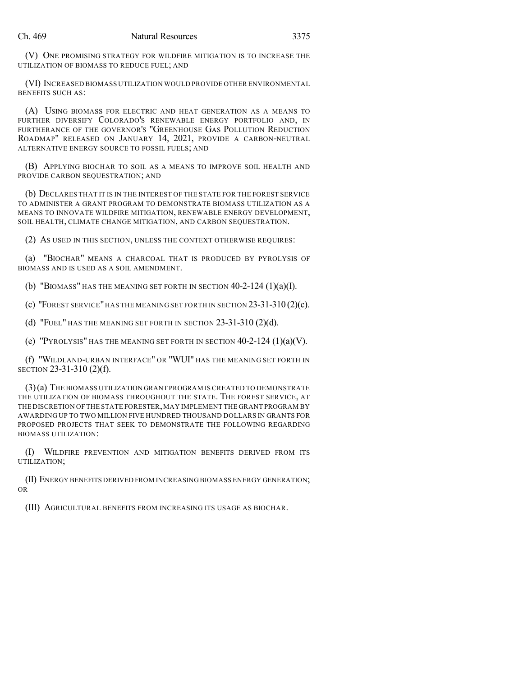(V) ONE PROMISING STRATEGY FOR WILDFIRE MITIGATION IS TO INCREASE THE UTILIZATION OF BIOMASS TO REDUCE FUEL; AND

(VI) INCREASED BIOMASS UTILIZATION WOULD PROVIDE OTHER ENVIRONMENTAL BENEFITS SUCH AS:

(A) USING BIOMASS FOR ELECTRIC AND HEAT GENERATION AS A MEANS TO FURTHER DIVERSIFY COLORADO'S RENEWABLE ENERGY PORTFOLIO AND, IN FURTHERANCE OF THE GOVERNOR'S "GREENHOUSE GAS POLLUTION REDUCTION ROADMAP" RELEASED ON JANUARY 14, 2021, PROVIDE A CARBON-NEUTRAL ALTERNATIVE ENERGY SOURCE TO FOSSIL FUELS; AND

(B) APPLYING BIOCHAR TO SOIL AS A MEANS TO IMPROVE SOIL HEALTH AND PROVIDE CARBON SEQUESTRATION; AND

(b) DECLARES THAT IT IS IN THE INTEREST OF THE STATE FOR THE FOREST SERVICE TO ADMINISTER A GRANT PROGRAM TO DEMONSTRATE BIOMASS UTILIZATION AS A MEANS TO INNOVATE WILDFIRE MITIGATION, RENEWABLE ENERGY DEVELOPMENT, SOIL HEALTH, CLIMATE CHANGE MITIGATION, AND CARBON SEQUESTRATION.

(2) AS USED IN THIS SECTION, UNLESS THE CONTEXT OTHERWISE REQUIRES:

(a) "BIOCHAR" MEANS A CHARCOAL THAT IS PRODUCED BY PYROLYSIS OF BIOMASS AND IS USED AS A SOIL AMENDMENT.

(b) "BIOMASS" HAS THE MEANING SET FORTH IN SECTION 40-2-124 (1)(a)(I).

(c) "FOREST SERVICE"HAS THE MEANING SET FORTH IN SECTION 23-31-310 (2)(c).

(d) "FUEL" HAS THE MEANING SET FORTH IN SECTION 23-31-310 (2)(d).

(e) "PYROLYSIS" HAS THE MEANING SET FORTH IN SECTION  $40-2-124$  (1)(a)(V).

(f) "WILDLAND-URBAN INTERFACE" OR "WUI" HAS THE MEANING SET FORTH IN SECTION 23-31-310 (2)(f).

(3)(a) THE BIOMASS UTILIZATION GRANT PROGRAM IS CREATED TO DEMONSTRATE THE UTILIZATION OF BIOMASS THROUGHOUT THE STATE. THE FOREST SERVICE, AT THE DISCRETION OF THE STATE FORESTER,MAY IMPLEMENT THE GRANT PROGRAM BY AWARDING UP TO TWO MILLION FIVE HUNDRED THOUSAND DOLLARS IN GRANTS FOR PROPOSED PROJECTS THAT SEEK TO DEMONSTRATE THE FOLLOWING REGARDING BIOMASS UTILIZATION:

(I) WILDFIRE PREVENTION AND MITIGATION BENEFITS DERIVED FROM ITS UTILIZATION;

(II) ENERGY BENEFITS DERIVED FROM INCREASING BIOMASS ENERGY GENERATION; OR

(III) AGRICULTURAL BENEFITS FROM INCREASING ITS USAGE AS BIOCHAR.